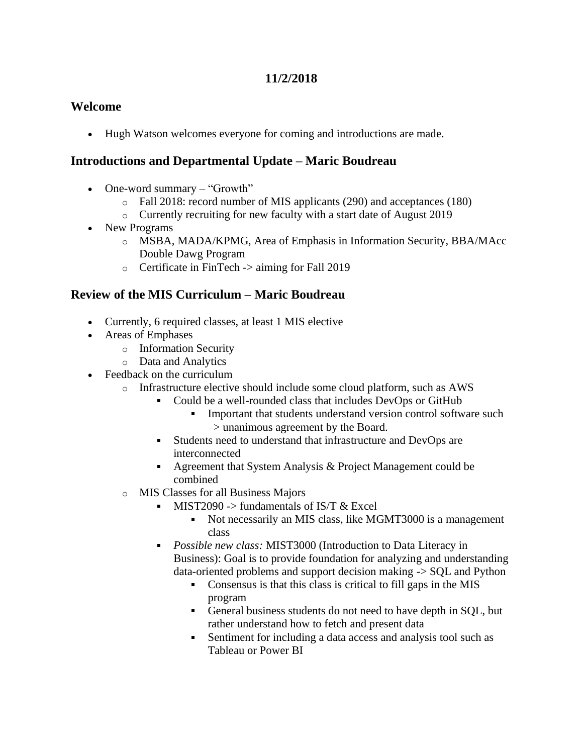## **11/2/2018**

#### **Welcome**

• Hugh Watson welcomes everyone for coming and introductions are made.

#### **Introductions and Departmental Update – Maric Boudreau**

- One-word summary "Growth"
	- o Fall 2018: record number of MIS applicants (290) and acceptances (180)
	- o Currently recruiting for new faculty with a start date of August 2019
- New Programs
	- o MSBA, MADA/KPMG, Area of Emphasis in Information Security, BBA/MAcc Double Dawg Program
	- o Certificate in FinTech -> aiming for Fall 2019

#### **Review of the MIS Curriculum – Maric Boudreau**

- Currently, 6 required classes, at least 1 MIS elective
- Areas of Emphases
	- o Information Security
	- o Data and Analytics
- Feedback on the curriculum
	- o Infrastructure elective should include some cloud platform, such as AWS
		- Could be a well-rounded class that includes DevOps or GitHub  $\mathbf{u}$ 
			- Important that students understand version control software such  $\rightarrow$  unanimous agreement by the Board.
		- Students need to understand that infrastructure and DevOps are interconnected
		- Agreement that System Analysis  $& Project Management could be$ combined
	- o MIS Classes for all Business Majors
		- $\blacksquare$  MIST2090 -> fundamentals of IS/T & Excel
			- Not necessarily an MIS class, like MGMT3000 is a management  $\blacksquare$ class
		- *Possible new class:* MIST3000 (Introduction to Data Literacy in Business): Goal is to provide foundation for analyzing and understanding data-oriented problems and support decision making -> SQL and Python
			- Consensus is that this class is critical to fill gaps in the MIS program
			- General business students do not need to have depth in SQL, but rather understand how to fetch and present data
			- $\mathbf{r}$ Sentiment for including a data access and analysis tool such as Tableau or Power BI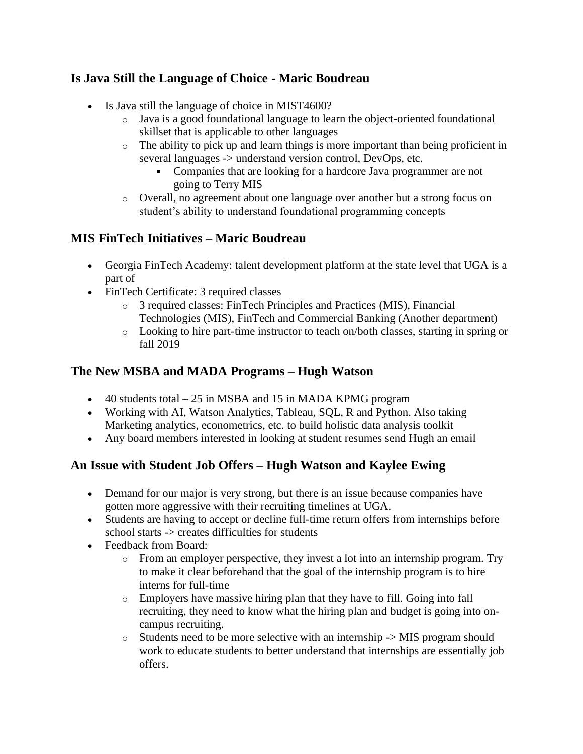# **Is Java Still the Language of Choice - Maric Boudreau**

- Is Java still the language of choice in MIST4600?
	- o Java is a good foundational language to learn the object-oriented foundational skillset that is applicable to other languages
	- o The ability to pick up and learn things is more important than being proficient in several languages -> understand version control, DevOps, etc.
		- Companies that are looking for a hardcore Java programmer are not going to Terry MIS
	- o Overall, no agreement about one language over another but a strong focus on student's ability to understand foundational programming concepts

## **MIS FinTech Initiatives – Maric Boudreau**

- Georgia FinTech Academy: talent development platform at the state level that UGA is a part of
- FinTech Certificate: 3 required classes
	- o 3 required classes: FinTech Principles and Practices (MIS), Financial Technologies (MIS), FinTech and Commercial Banking (Another department)
	- o Looking to hire part-time instructor to teach on/both classes, starting in spring or fall 2019

#### **The New MSBA and MADA Programs – Hugh Watson**

- $\bullet$  40 students total 25 in MSBA and 15 in MADA KPMG program
- Working with AI, Watson Analytics, Tableau, SQL, R and Python. Also taking Marketing analytics, econometrics, etc. to build holistic data analysis toolkit
- Any board members interested in looking at student resumes send Hugh an email

## **An Issue with Student Job Offers – Hugh Watson and Kaylee Ewing**

- Demand for our major is very strong, but there is an issue because companies have gotten more aggressive with their recruiting timelines at UGA.
- Students are having to accept or decline full-time return offers from internships before school starts -> creates difficulties for students
- Feedback from Board:
	- $\circ$  From an employer perspective, they invest a lot into an internship program. Try to make it clear beforehand that the goal of the internship program is to hire interns for full-time
	- o Employers have massive hiring plan that they have to fill. Going into fall recruiting, they need to know what the hiring plan and budget is going into oncampus recruiting.
	- o Students need to be more selective with an internship -> MIS program should work to educate students to better understand that internships are essentially job offers.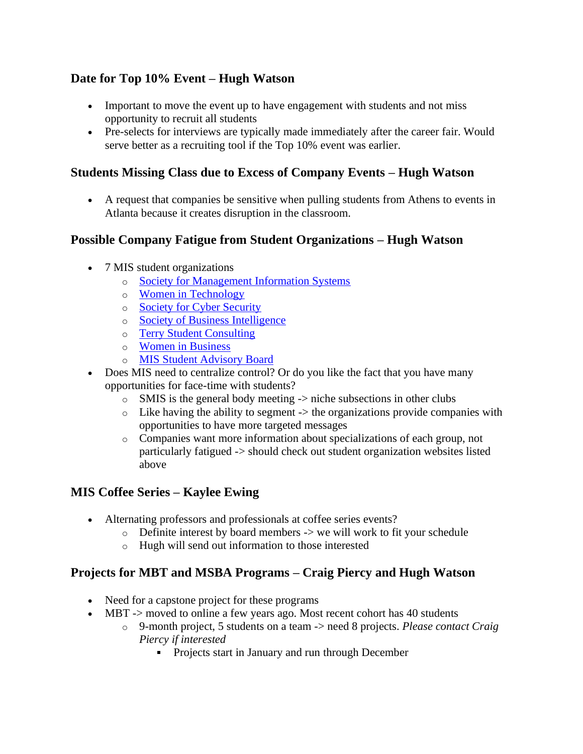# **Date for Top 10% Event – Hugh Watson**

- Important to move the event up to have engagement with students and not miss opportunity to recruit all students
- Pre-selects for interviews are typically made immediately after the career fair. Would serve better as a recruiting tool if the Top 10% event was earlier.

#### **Students Missing Class due to Excess of Company Events – Hugh Watson**

• A request that companies be sensitive when pulling students from Athens to events in Atlanta because it creates disruption in the classroom.

## **Possible Company Fatigue from Student Organizations – Hugh Watson**

- 7 MIS student organizations
	- o [Society for Management Information Systems](https://www.ugasmis.com/)
	- o [Women in Technology](http://womenintechuga.wixsite.com/womenintechuga)
	- o [Society for Cyber Security](https://ugascs.com/resources)
	- o [Society of Business Intelligence](http://ugasbi.weebly.com/)
	- o [Terry Student Consulting](https://www.terrystudentconsulting.com/)
	- o [Women in Business](http://www.ugawib.org/)
	- o [MIS Student Advisory Board](%7b%7bf:32475031%7d%7d)
- Does MIS need to centralize control? Or do you like the fact that you have many opportunities for face-time with students?
	- $\circ$  SMIS is the general body meeting  $\rightarrow$  niche subsections in other clubs
	- $\circ$  Like having the ability to segment -> the organizations provide companies with opportunities to have more targeted messages
	- o Companies want more information about specializations of each group, not particularly fatigued -> should check out student organization websites listed above

## **MIS Coffee Series – Kaylee Ewing**

- Alternating professors and professionals at coffee series events?
	- $\circ$  Definite interest by board members -> we will work to fit your schedule
	- o Hugh will send out information to those interested

## **Projects for MBT and MSBA Programs – Craig Piercy and Hugh Watson**

- Need for a capstone project for these programs
- MBT -> moved to online a few years ago. Most recent cohort has 40 students
	- o 9-month project, 5 students on a team -> need 8 projects. *Please contact Craig Piercy if interested*
		- **Projects start in January and run through December**